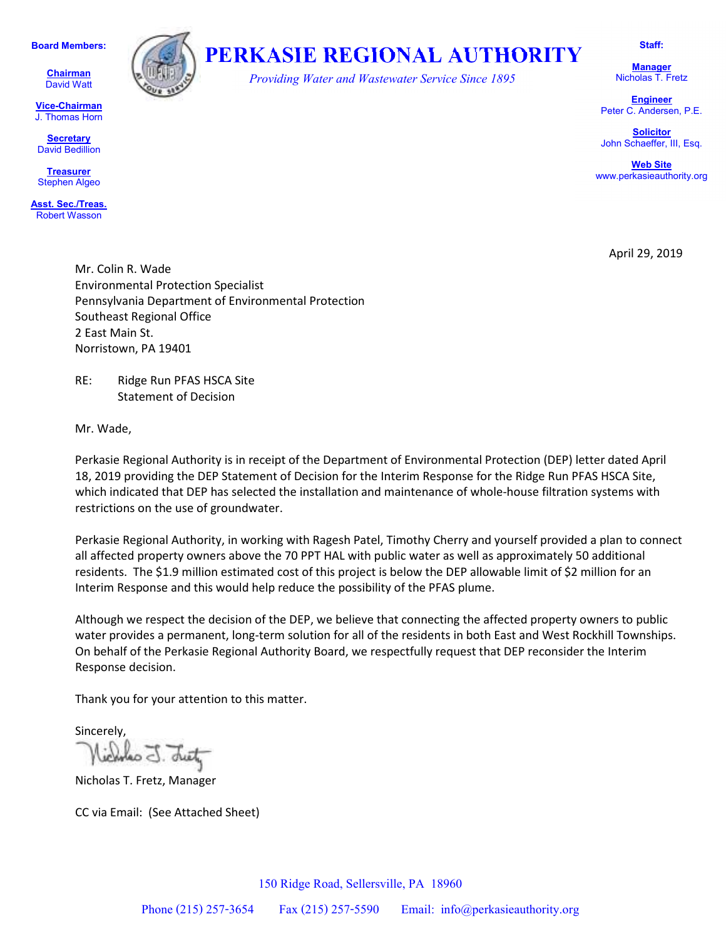**Board Members:**

**Chairman**  David Watt

**Vice-Chairman** J. Thomas Horn

**Secretary** David Bedillion

**Treasurer** Stephen Algeo

**Asst. Sec./Treas.** Robert Wasson



## **PERKASIE REGIONAL AUTHORITY**

*Providing Water and Wastewater Service Since 1895* 

**Staff:** 

**Manager**  Nicholas T. Fretz

**Engineer** Peter C. Andersen, P.E.

**Solicitor** John Schaeffer, III, Esq.

**Web Site** www.perkasieauthority.org

April 29, 2019

Mr. Colin R. Wade Environmental Protection Specialist Pennsylvania Department of Environmental Protection Southeast Regional Office 2 East Main St. Norristown, PA 19401

RE: Ridge Run PFAS HSCA Site Statement of Decision

Mr. Wade,

Perkasie Regional Authority is in receipt of the Department of Environmental Protection (DEP) letter dated April 18, 2019 providing the DEP Statement of Decision for the Interim Response for the Ridge Run PFAS HSCA Site, which indicated that DEP has selected the installation and maintenance of whole-house filtration systems with restrictions on the use of groundwater.

Perkasie Regional Authority, in working with Ragesh Patel, Timothy Cherry and yourself provided a plan to connect all affected property owners above the 70 PPT HAL with public water as well as approximately 50 additional residents. The \$1.9 million estimated cost of this project is below the DEP allowable limit of \$2 million for an Interim Response and this would help reduce the possibility of the PFAS plume.

Although we respect the decision of the DEP, we believe that connecting the affected property owners to public water provides a permanent, long-term solution for all of the residents in both East and West Rockhill Townships. On behalf of the Perkasie Regional Authority Board, we respectfully request that DEP reconsider the Interim Response decision.

Thank you for your attention to this matter.

Sincerely,

Nicholas T. Fretz, Manager

CC via Email: (See Attached Sheet)

150 Ridge Road, Sellersville, PA 18960